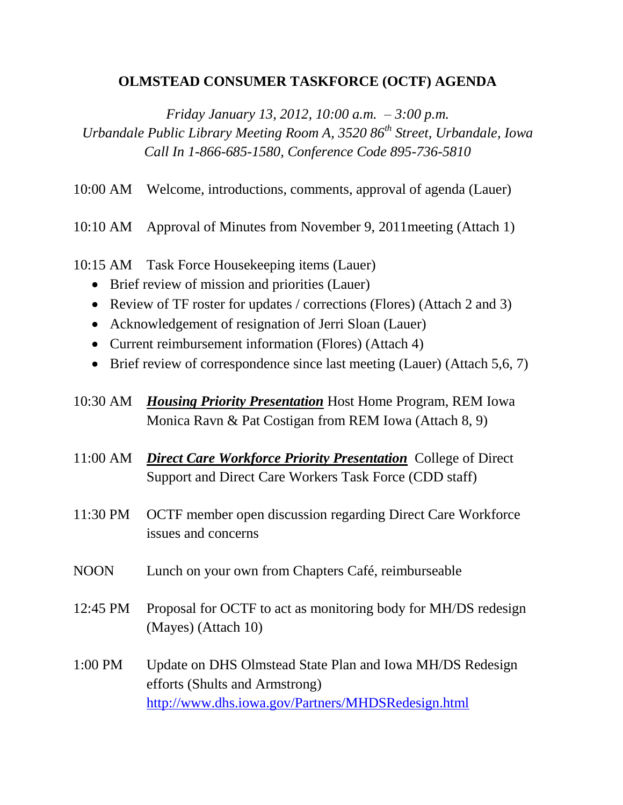## **OLMSTEAD CONSUMER TASKFORCE (OCTF) AGENDA**

*Friday January 13, 2012, 10:00 a.m. – 3:00 p.m.*

*Urbandale Public Library Meeting Room A, 3520 86th Street, Urbandale, Iowa Call In 1-866-685-1580, Conference Code 895-736-5810*

- 10:00 AM Welcome, introductions, comments, approval of agenda (Lauer)
- 10:10 AM Approval of Minutes from November 9, 2011meeting (Attach 1)
- 10:15 AM Task Force Housekeeping items (Lauer)
	- Brief review of mission and priorities (Lauer)
	- Review of TF roster for updates / corrections (Flores) (Attach 2 and 3)
	- Acknowledgement of resignation of Jerri Sloan (Lauer)
	- Current reimbursement information (Flores) (Attach 4)
	- Brief review of correspondence since last meeting (Lauer) (Attach 5,6, 7)
- 10:30 AM *Housing Priority Presentation* Host Home Program, REM Iowa Monica Ravn & Pat Costigan from REM Iowa (Attach 8, 9)
- 11:00 AM *Direct Care Workforce Priority Presentation* College of Direct Support and Direct Care Workers Task Force (CDD staff)
- 11:30 PM OCTF member open discussion regarding Direct Care Workforce issues and concerns
- NOON Lunch on your own from Chapters Café, reimburseable
- 12:45 PM Proposal for OCTF to act as monitoring body for MH/DS redesign (Mayes) (Attach 10)
- 1:00 PM Update on DHS Olmstead State Plan and Iowa MH/DS Redesign efforts (Shults and Armstrong) <http://www.dhs.iowa.gov/Partners/MHDSRedesign.html>